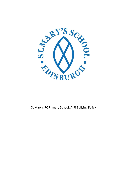

St Mary's RC Primary School: Anti Bullying Policy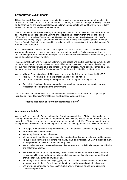# **INTRODUCTION AND PURPOSE**

City of Edinburgh Council is strongly committed to providing a safe environment for all people in its educational establishments. We are committed to ensuring positive relationships. Bullying, prejudice and discrimination are never acceptable and children, young people and staff have the right to learn and work in a safe, fair and secure environment.

This school procedure follows the City of Edinburgh Council's Communities and Families Procedure on 'Preventing and Responding to Bullying and Prejudice amongst Children and Young People' (2020) which is based on '*Respect for All: The National Approach to Anti-Bullying for Scotland's Children and Young People*'. It has been written with reference to the Scottish Catholic Education Service Equality Policy for schools and in consultation with representatives of the Archdiocese of St. Andrew's and Edinburgh.

As a Catholic school, the values of the Gospel permeate all aspects of school life. The children / young people grow to recognise that every person is unique, made in God's image and likeness. God's message of love, tolerance and respect for the individual is reinforced within our teaching and is central to collective acts of worship.

The emotional health and wellbeing of children, young people and staff is essential for our children to have the best start to life and to have successful life chances. We are committed to developing positive relationships between all in the school community, children, young people, staff and parents. Our core practices are the 4 Rs: Relationships, Rights Respecting, Resilience, Restorative.

We are a Rights Respecting School. This procedure covers the following articles of the UNCRC:

- Article 2 You have the right to protection against discrimination.
- Article 19 You have the right to be protected from being hurt or badly treated.
- Article 29 You have the right to an education which develops your personality and your respect for other's rights and the environment.

This procedure has been revised and updated in consultation with staff, parent and pupil groups, including our Pupil Council, Parent Council and Equalities Working Group.

# **\*Please also read our school's Equalities Policy\***

# **Our values and beliefs**

We are a Catholic school. Our school has the life and teaching of Jesus Christ as its foundation. Through the ethos of the school we will endeavour to work with the children so that they will come to know Jesus Christ as a person and a friend who guides them through life. We work towards helping each person in the school community to grow in fullness to develop, mature and fulfil their potential.

- All people are made in the image and likeness of God, and are deserving of dignity and respect
- All learners are of equal value.
- We recognise and respect difference.
- We foster positive attitudes and relationships, and a shared sense of cohesion and belonging.
- All pupils and staff have the right to feel happy, safe and included. St Mary's supports every young person to achieve and attain their very best.
- We actively foster good relations between diverse groups and individuals, respect individuality and celebrate diversity.
- We are committed to promoting equality of opportunity for all and we work actively towards eliminating all forms of bullying, prejudice and discrimination. We challenge inequality and promote inclusive, nurturing environments.
- We recognise the effects that bullying, prejudice and discrimination can have on a child or young person's feelings of worth, on their health and wellbeing and on their school-work.
- We provide opportunities for success through a variety of curricular and extra-curricular options and pathways.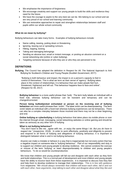- We emphasise the importance of forgiveness
- We encourage creativity and support our young people to build the skills and resilience they need for the future.
- We have the courage to aspire to the very best we can be. We belong to our school and we are very proud of our school and learning community.
- We use restorative approaches to repair and strengthen relationships between staff and pupils within our whole school community

### **What do we mean by bullying?**

Bullying behaviours can take many forms. Examples of bullying behaviours include:

- Name calling, teasing, putting down or threatening.
- Ignoring, leaving out or spreading rumours.
- Hitting, tripping, kicking.
- Taking and damaging belongings
- Sending an abusive text, email or instant message, or posting an abusive comment on a social networking site (online or cyber-bullying).
- Targeting someone because of who they are or who they are perceived to be.

# **DEFINITIONS**

**Bullying.** The Council has adopted the definition in Respect for All: The National Approach to Anti Bullying for Scotland's Children and Young People (Scottish Government, 2017):

"Bullying is both behaviour and impact; the impact is on a person's capacity to feel in control of themselves. This is what we term as their sense of 'agency'. Bullying takes place in the context of relationships; it is behaviour that can make people feel hurt, threatened, frightened and left out. This behaviour happens face to face and online". (Respect for All, 2017)

**Bullying behaviour** is a more useful phrase than 'bully'. The term bully labels an individual with a fixed trait, whereas bullying behaviour can be transient and temporary and can be changed/corrected.

**Person being bullied/picked on/isolated or person on the receiving end of bullying behaviour** are more useful phrases than 'victim'. The label victim can be disempowering. The term victim labels an individual with a fixed trait whereas bullying experiences can be temporary. There can also be a complex interplay between those involved and there may not be a clear beginning and end.

**Online bullying or cyberbullying** is bullying behaviour that takes place via mobile phone or over the internet through email, messaging, social networking websites or online gaming and should be taken as seriously as any other form of bullying

#### **What is not bullying behaviour?**

*"You don't have to like me…agree with me…or enjoy the same things I do. But you do have to respect me." (*respect*me*, 2018). In order to work effectively, positively and diligently to prevent and respond to all forms of bullying and allegations of bullying behaviour, it is important to distinguish between what is and is not bullying behaviour.

Anyone can make a mistake or behave in a way that is inappropriate but not every action that has a negative impact on someone else is 'bullying behaviour'. Part of our responsibility and duty is to support our children and young people to develop resilience. We cannot condone the overuse or misuse of the term 'bullying' or react disproportionately to children and young people's behaviours. To do so would be counterproductive.

We know that children and young people will fall out and disagree with each other as they form and build relationships. This is a normal part of development and most children and young people have the ability to bounce back from these experiences. It is important to discuss how they feel and help them to develop resilience to manage their relationships. This is in line with guidance from respect*me*. "*We should always remember that children will tease each other, fall in and out with each other, have arguments, stop talking to each other and disagree about what they like and*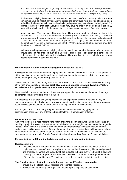*don't like. This is a normal part of growing up and should be distinguished from bullying. However, in an environment where this behaviour is left unchecked, it can lead to bullying, making those being bullied feel afraid, uncomfortable and unsafe in their environment."* (respect*me*, 2018).

Furthermore, bullying behaviour can sometimes be unsuccessful as bullying behaviours can sometimes have no impact. In this case the person the behaviours were directed at has not been bullied but the behaviour still needs to be challenged appropriately and should not be ignored. For example, the use of prejudicial language, which may have no impact on the person it is aimed at, must still be challenged, as the language itself is unacceptable and could affect other people.

respect*me* state "Bullying can affect people in different ways and this should be taken into consideration. If you are unsure if behaviour is bullying, look at the effect it is having on the child or young person. If they are unable to respond effectively and regain their sense of self and control in the situation, adults need to intervene to help restore it. Keeping the focus on impact reduces the emphasis on issues of persistence and intent. What you do about bullying is more important than how you define it." (2018)

Incidents may be perceived as bullying when they are, in fact, criminal in nature. It is important to ensure that criminal offences such as hate crime, child sexual exploitation and gender-based violence are clearly distinguished from bullying. There are laws to protect children and young people from this very serious behaviour.

#### **Discrimination, Prejudice-based Bullying and the Equality Act 2010**

Bullying behaviour can often be rooted in prejudice and discrimination due to difference or a perceived difference. We are committed to challenging discrimination, prejudice-based bullying and language, and to fulfilling our duty under the Equality Act 2010.

The Equality Act 2010 sets out rights which include legal protection from discrimination related to any of the nine protected characteristics: **disability; race; sex; pregnancy/maternity; religion/belief; sexual orientation; gender re-assignment; age; marriage/civil partnership**

Note: In relation to the education of children and young people, the protected characteristics of age and marriage/civil partnership are not included.

We recognise that children and young people can also experience bullying in relation to: asylum seeker or refugee status; body image; being care experienced; social or economic status; young carer responsibilities; imprisonment of parents/carers, siblings, or other family members.

We recognise that children and young people can experience disadvantage, prejudice or discrimination because of any of these individual factors or a combination of factors.

#### **Hate incident or hate crime**

A bullying incident is a hate incident if the victim or anyone else thinks it was carried out because of hostility or prejudice based on actual or perceived disability, race, religion, sexual orientation or gender identity. If the incident is a criminal offence and the offender targeted the victim because of their prejudice or hostility based on any of these characteristics, this is a hate crime. All hate crimes should be reported to Police Scotland through the School Link Officer. In the case of hate incidents, the designated member of staff / Equality Co-ordinator should seek advice from the School Link Officer.

#### **Responsibilities and Reporting bullying, prejudice and discrimination incidents**

#### **Headteachers are:**

• responsible for the introduction and implementation of this procedure. However, all staff, all pupils and their parents/carers must play an active part in following the guidance and putting it into practice. Teachers and support staff are expected to be pro-active, to treat all allegations seriously and to refer reports of incidents to the Equalities Co-ordinator / designated member of the senior leadership team. The incident is recorded accurately with future actions detailed.

#### **The Equalities Co-ordinator**, **in consultation with the Head Teacher, is required to**:

- ensure that all allegations are reported and recorded rigorously
- monitor SEEMiS Bullying and Equalities module reports regularly, at least termly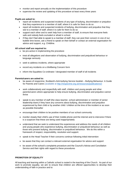- monitor and report annually on the implementation of this procedure
- supervise the review and updating of this procedure at least every three years

#### **Pupils are asked to:**

- report all incidents and suspected incidents of any type of bullying, discrimination or prejudice that they experience to a member of staff, where it is safe for them to do so
- report all incidents and suspected incidents of bullying, discrimination and prejudice that they see to a member of staff, where it is safe for them to do so
- support each other and to seek help from a member of staff, to ensure that everyone feels safe and nobody feels excluded or afraid in school.
- if they don't feel able to speak to a member of staff, they can post their concern in one of our bubble time boxes, ask a friend to speak on their behalf or contact an external organisation for advice and support, e.g. Childline.

### **All school staff are required to:**

- be pro-active in implementing the procedure
- treat all allegations and observation of bullying, discrimination and prejudiced behaviour or language seriously
- seek to address incidents, where appropriate
- record any incidents on a Wellbeing Concern form
- inform the Equalities Co-ordinator / designated member of staff of all incidents

#### **Parents/carers are asked to:**

- be aware of respect*me*, Scotland's Anti-bullying Service booklet Bullying Behaviour: A Guide for Parents and Carers (available at [http://respectme.org.uk/resources/publications/\)](http://respectme.org.uk/resources/publications/)
- work collaboratively and respectfully with staff, children and young people and other parents/carers where appropriate to help ensure bullying, discrimination and prejudice cannot thrive
- speak to any member of staff (the class teacher, school administrator or member of senior leadership team) if they have any concerns about bullying, discrimination and prejudice experienced by their child or by another child / children at the time of the incident or as soon as possible thereafter
- encourage their children to be positive members of our school community
- monitor closely their child's use of their mobile phone and the internet and to intervene if there is a suspicion that these are being used inappropriately
- understand that we seek to understand the experiences and address the needs of all children and young people who experience bullying, discrimination or prejudiced behaviour as well as those who present bullying, discrimination or prejudiced behaviour. We do this within a framework of respect, responsibility, resolution and support.
- speak to the Head Teacher if their concerns continue following initial intervention
- be aware that they can contact a relevant external organisation for advice and support
- be aware of the school's complaints procedure and the Council's Advice and Conciliation Service and their rights with regard to these procedures

### **PROMOTION OF EQUALITY**

All teaching and learning within a Catholic school is rooted in the teaching of the Church. As part of our work to promote equality, we aim to ensure that children are offered opportunities to develop their understanding of faith in practice and to: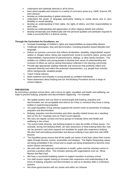- understand and celebrate diversity in all its forms;
- learn about equality and inclusion in a variety of curriculum areas (e.g. HWB, Science, RE, and Literacy);
- develop an understanding of global citizenship;
- understand the power of language particularly relating to verbal abuse due to race, disability or social standing;
- develop an understanding of their rights, the rights of others, and their responsibilities to each other;
- develop an understanding and appreciation of other religious beliefs and cultures;
- develop emotionally and intellectually with the personal qualities and attributes required to make a successful life in a diverse society.

# **Through the Curriculum for Excellence, we**:

- Increase knowledge of children's rights and responsibilities as responsible citizens.
- Challenge stereotypes, bias and discrimination, including prejudice-based attitudes and language.
- Deliver an inclusive curriculum that reflects all identities: disability, religion/belief; asylum seeker or refugee status, being care experienced; social or economic status; young carer responsibilities; imprisonment of parents/carers, siblings, or other family members. This enables our children and young people to develop their sense of understanding and inclusion of others as well as seeing themselves reflected in the learning community.
- Provide age-appropriate reading materials and resources that positively reflect and represent diversity and reflect the protected characteristics, e.g. people from minority ethnic backgrounds, disabled people.
- **Teach Critical Literacy.**
- Build resilience and empathy in young people as confident individuals.
- Raise awareness about bullying and our Anti-Bullying Procedure across a range of school subjects.

### **PREVENTION**

By promoting a positive school ethos, with a focus on rights, equalities and health and wellbeing, we hope to prevent bullying, prejudice and discrimination happening. For example:

- We update posters and use them to remind pupils that bullying, prejudice and discrimination are not acceptable and what to do if they or someone they know is being bullied or experiencing prejudice
- Our pupil Equalities Group actively supports the school's work on prevention of bullying, prejudice and discrimination
- Bullying, prejudice and discrimination and other equality-related issues are a standing item on the SLT meetings and our Pupil Council agenda.
- We carry out regular surveys and focus groups to evaluate ethos and health and wellbeing in the school
- The school holds diversity, anti-bullying projects to raise the profile of these issues. For example, during Anti Bullying Week, we raise awareness of what bullying looks like, how we can prevent it and what supports are available for pupils who experience bullying. We also hold anti-bullying assemblies and discuss bullying in key adult time and HWB lessons
- The Equalities group ensure that all the pupils are aware of and learn about their human rights through lessons, events, assemblies and displays. The Rights-Respecting values are being embedded in the school and so pupils are being empowered to become more active citizens and learners
- We work with other agencies and partners in health, police and the voluntary sector to promote a positive ethos. This includes working with organisations such as, 'Show Racism the Red Card'
- We have a successful buddying system to support transition to primary school
- Our staff receive regular training to increase their awareness and understanding of all forms of bullying, prejudice and discrimination as well as to develop skills in restorative practice
- We share good practice with our cluster and within our Diocese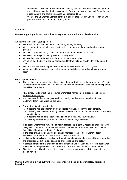- We use our public platforms to: share the vision, aims and values of the school promote the positive impact that the inclusive ethos of the school has outline key information for pupils, parents and carers on accessing support and help
- We use the Charter for Catholic schools to ensure that, through Church Teaching, we promote Social Justice and opportunity for all.

# **SUPPORT**

# **How we support pupils who are bullied or experience prejudice and discrimination**

We listen to the child or young person

- We reassure them that they have done the right thing by telling.
- We encourage them to talk about how they feel, find out what happened and who was involved
- We involve them in making choices about how the matter could be resolved
- We discuss strategies for being safe and staying safe
- We ask them to report any further incidents to us straight away
- We affirm that the bullying can be stopped and that we will persist with intervention until it does
- We say clearly what will happen next and that we will update them on progress
- When the incident has been resolved, we monitor and check that bullying has not started again

# **What happens next?**

- The teacher or member of staff who receives the report will record the incident on a Wellbeing Concern form and discuss next steps with the designated member of senior leadership team / Equalities Co-ordinator.
- At all times, child protection procedures and/or Risk Management procedures should be followed, if necessary.
- In most cases, further investigation will be done by the designated member of senior leadership team / Equalities Co-ordinator.
- Further investigation may involve:
	- ➢ Speaking with the children or young people involved, preserving confidentiality.
	- $\triangleright$  Speaking with children or young people or others who witnessed the incident, preserving confidentiality.
	- ➢ Speaking with parents (*after consultation with the child or young person*)
	- ➢ Seeking advice from partner services and relevant organisations
- In all cases where there may be criminal implications (e.g. sexual assault or hate crime), the designated member of senior leadership team / Equalities Co-ordinator will report this to Social Care Direct and or Police Scotland.
- In the case of hate incidents, the designated member of the senior leadership team / Equalities Co-ordinator will seek advice from Police Scotland.
- If it is found that bullying, prejudice or discrimination has taken place, we will take appropriate and proportionate action (see examples of possible actions below)
- If it is found that bullying, prejudice or discrimination has not taken place, we will speak with the child or young person who reported the incident and offer further support if needed
- At all times, we will update the child or young person who reported bullying, prejudice or discrimination

**Our work with pupils who bully others or present prejudiced or discriminatory attitudes / behaviour**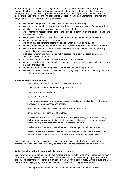A child or young person who is bullying someone else may not be doing this consciously but the impact of bullying, prejudice or discrimination is still felt and this is taken seriously. Pupils who engage in bullying behaviour or present prejudiced or discriminatory attitudes / behaviour will be treated fairly and consistently using actions that are proportionate and appropriate to the age and stage of the child and to the incident (see below).

- We interview the pupil (or pupils) involved in the incident separately.
- We listen to their version of events and take time to discover the reasons for the behaviour.
- We talk to anyone who may have witnessed the incident.
- We reinforce the message that bullying, prejudice and discrimination are not acceptable, and that we expect it to stop.
- We address prejudicial or discriminatory attitudes that may be behind the behaviour
- We seek a commitment to stop bullying.
- We affirm that it is right for pupils to let us know when they are being bullied.
- We consider consequences under our school's Positive Behaviour Management Procedure.
- We consider what support the pupil needs and whether other referrals are required, e.g. educational psychologist, counsellor.
- In all cases where there may be criminal implications (e.g. sexual assault or hate crime) we report this to Police Scotland.
- In the case of hate incidents, we seek advice from Police Scotland.
- We advise pupils responsible for bullying, prejudice or discrimination that we check to ensure that the behaviour stops.
- We contact the parents of the pupil(s) at an early stage, where appropriate.
- We follow up after incidents to check that the bullying, prejudiced or discriminatory behaviour has not started again in any form.

### **Some examples of our actions**

- Restorative practices, including acknowledging grievances.
- Involvement of a parent/carer where appropriate.
- Peer mentoring and mediation.
- De-escalation strategies.
- Physical separation of person/people presenting bullying, prejudiced or discriminatory behaviour, where necessary and possible.
- Use of support base to increase confidence and provide support.
- Consequences, including loss of privileges.
- Assessment of additional support needs, including counselling, for the person being bullied or experiencing prejudiced or discriminatory behaviour or for the person who is bullying or displaying prejudiced or discriminatory behaviour.
- Involvement of other agencies and partners in health, police and voluntary sector.
- Referral to specific support service, such as Psychological Services, Education Welfare Service, Social Work or Child and Adolescent Mental Health Service (CAMHS).

Note: Exclusion from school is not itself a sanction or punishment for bullying, prejudiced or discriminatory behaviour and would only be used in specific circumstances and as a last resort.

# **Online bullying and bullying outside the school premises**

We know that bullying, prejudice and discrimination can occur outside the school gates and via mobile phones and social network internet sites. The behaviour may be presented by pupils from our own school, by pupils from other schools or by people who are not at school at all. Where a pupil or parent informs us of bullying, prejudice or discrimination outwith the school premises we will:

Talk to pupils about how to avoid or handle these incidents outside of school.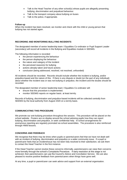- Talk to the Head Teacher of any other school(s) whose pupils are allegedly presenting bullying, discrimination and prejudiced behaviour.
- Talk to the transport company about bullying on buses
- Talk to the police, if appropriate.

# **Follow-up**

When the incident has been resolved, we monitor and check with the child or young person that bullying has not started again.

# **RECORDING AND MONITORING BULLYING INCIDENTS**

The designated member of senior leadership team / Equalities Co-ordinator or Pupil Support Leader (secondary) will record all incidents in the Bullying and Equalities module in SEEMiS.

The following information is recorded:

- the person experiencing the behaviour
- the person displaying the behaviour
- the nature and category of the incident
- the perceived reason(s) for bullying
- actions already taken and future actions
- conclusion (being addressed, resolved, not resolved, unfounded)

All incidents should be recorded. Records should include whether the incident is bullying, and/or prejudice-based and the nature of this. If there is any dispute or doubt (on the part of any individual) about whether the incident was or was not bullying or prejudice, the incident and the doubts should be recorded.

The designated member of senior leadership team / Equalities Co-ordinator will:

- ensure that this procedure is implemented.
- monitor SEEMiS reports on regular basis, at least termly.

Records of bullying, discrimination and prejudice-based incidents will be collected centrally from SEEMiS by the local authority from August 2020 on a termly basis.

# **COMMUNICATING THIS PROCEDURE**

We promote our anti-bullying procedure throughout the session. This procedure will be placed on the school website. Posters are on display around the school advising pupils how they can report bullying, discrimination and prejudice, or seek confidential help. In-school arrangements for anonymous reporting are regularly promoted via school assemblies. The procedure is also reinforced through HWB lessons.

#### **CONCERNS AND FEEDBACK**

We recognise that there may be times when pupils or parents/carers feel that we have not dealt well with an incident of bullying, discrimination and prejudice or a wider community issue. If a pupil or parent/carer feels that an incident/issue has not been fully resolved to their satisfaction, we ask them to contact the Head Teacher in the first instance.

If the Head Teacher cannot resolve these concerns informally, parents/carers can raise their concerns more formally through the school's Complaints Procedure. If early resolution at this stage is not achieved, then parents/carers can use the Council's Advice and Conciliation Service*.* We are also pleased to receive positive feedback from parents/carers when things have gone well.

At any time, a pupil or parent/carer can seek advice and support from an external organisation.